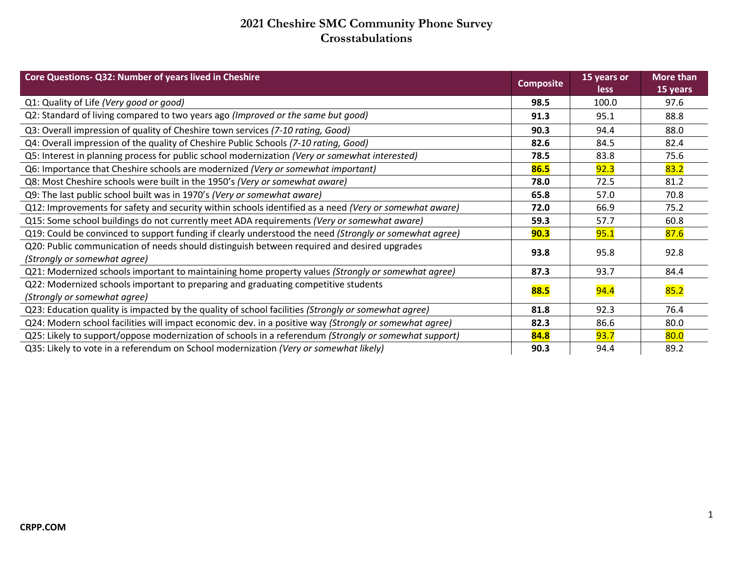## **2021 Cheshire SMC Community Phone Survey Crosstabulations**

| Core Questions- Q32: Number of years lived in Cheshire                                                                      | <b>Composite</b> | 15 years or<br><b>less</b> | More than<br>15 years |
|-----------------------------------------------------------------------------------------------------------------------------|------------------|----------------------------|-----------------------|
| Q1: Quality of Life (Very good or good)                                                                                     | 98.5             | 100.0                      | 97.6                  |
| Q2: Standard of living compared to two years ago (Improved or the same but good)                                            | 91.3             | 95.1                       | 88.8                  |
| Q3: Overall impression of quality of Cheshire town services (7-10 rating, Good)                                             | 90.3             | 94.4                       | 88.0                  |
| Q4: Overall impression of the quality of Cheshire Public Schools (7-10 rating, Good)                                        | 82.6             | 84.5                       | 82.4                  |
| Q5: Interest in planning process for public school modernization (Very or somewhat interested)                              | 78.5             | 83.8                       | 75.6                  |
| Q6: Importance that Cheshire schools are modernized (Very or somewhat important)                                            | 86.5             | 92.3                       | 83.2                  |
| Q8: Most Cheshire schools were built in the 1950's (Very or somewhat aware)                                                 | 78.0             | 72.5                       | 81.2                  |
| Q9: The last public school built was in 1970's (Very or somewhat aware)                                                     | 65.8             | 57.0                       | 70.8                  |
| Q12: Improvements for safety and security within schools identified as a need (Very or somewhat aware)                      | 72.0             | 66.9                       | 75.2                  |
| Q15: Some school buildings do not currently meet ADA requirements (Very or somewhat aware)                                  | 59.3             | 57.7                       | 60.8                  |
| Q19: Could be convinced to support funding if clearly understood the need (Strongly or somewhat agree)                      | 90.3             | 95.1                       | 87.6                  |
| Q20: Public communication of needs should distinguish between required and desired upgrades<br>(Strongly or somewhat agree) | 93.8             | 95.8                       | 92.8                  |
| Q21: Modernized schools important to maintaining home property values (Strongly or somewhat agree)                          | 87.3             | 93.7                       | 84.4                  |
| Q22: Modernized schools important to preparing and graduating competitive students<br>(Strongly or somewhat agree)          | 88.5             | <b>94.4</b>                | 85.2                  |
| Q23: Education quality is impacted by the quality of school facilities (Strongly or somewhat agree)                         | 81.8             | 92.3                       | 76.4                  |
| Q24: Modern school facilities will impact economic dev. in a positive way (Strongly or somewhat agree)                      | 82.3             | 86.6                       | 80.0                  |
| Q25: Likely to support/oppose modernization of schools in a referendum (Strongly or somewhat support)                       | 84.8             | 93.7                       | 80.0                  |
| Q35: Likely to vote in a referendum on School modernization (Very or somewhat likely)                                       | 90.3             | 94.4                       | 89.2                  |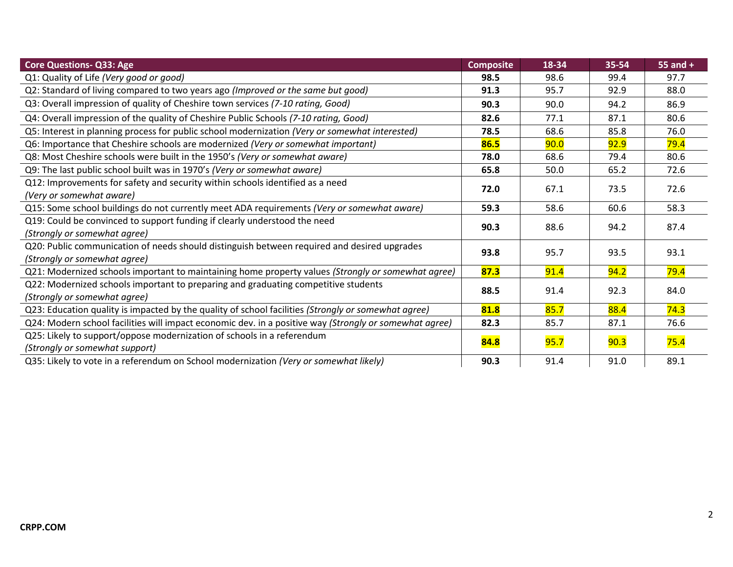| <b>Core Questions- Q33: Age</b>                                                                        | <b>Composite</b> | 18-34 | 35-54 | 55 and $+$ |
|--------------------------------------------------------------------------------------------------------|------------------|-------|-------|------------|
| Q1: Quality of Life (Very good or good)                                                                | 98.5             | 98.6  | 99.4  | 97.7       |
| Q2: Standard of living compared to two years ago (Improved or the same but good)                       | 91.3             | 95.7  | 92.9  | 88.0       |
| Q3: Overall impression of quality of Cheshire town services (7-10 rating, Good)                        | 90.3             | 90.0  | 94.2  | 86.9       |
| Q4: Overall impression of the quality of Cheshire Public Schools (7-10 rating, Good)                   | 82.6             | 77.1  | 87.1  | 80.6       |
| Q5: Interest in planning process for public school modernization (Very or somewhat interested)         | 78.5             | 68.6  | 85.8  | 76.0       |
| Q6: Importance that Cheshire schools are modernized (Very or somewhat important)                       | 86.5             | 90.0  | 92.9  | 79.4       |
| Q8: Most Cheshire schools were built in the 1950's (Very or somewhat aware)                            | 78.0             | 68.6  | 79.4  | 80.6       |
| Q9: The last public school built was in 1970's (Very or somewhat aware)                                | 65.8             | 50.0  | 65.2  | 72.6       |
| Q12: Improvements for safety and security within schools identified as a need                          | 72.0             |       | 73.5  | 72.6       |
| (Very or somewhat aware)                                                                               |                  | 67.1  |       |            |
| Q15: Some school buildings do not currently meet ADA requirements (Very or somewhat aware)             | 59.3             | 58.6  | 60.6  | 58.3       |
| Q19: Could be convinced to support funding if clearly understood the need                              | 90.3             | 88.6  | 94.2  | 87.4       |
| (Strongly or somewhat agree)                                                                           |                  |       |       |            |
| Q20: Public communication of needs should distinguish between required and desired upgrades            | 93.8             | 95.7  | 93.5  | 93.1       |
| (Strongly or somewhat agree)                                                                           |                  |       |       |            |
| Q21: Modernized schools important to maintaining home property values (Strongly or somewhat agree)     | 87.3             | 91.4  | 94.2  | 79.4       |
| Q22: Modernized schools important to preparing and graduating competitive students                     | 88.5             | 91.4  | 92.3  | 84.0       |
| (Strongly or somewhat agree)                                                                           |                  |       |       |            |
| Q23: Education quality is impacted by the quality of school facilities (Strongly or somewhat agree)    | 81.8             | 85.7  | 88.4  | 74.3       |
| Q24: Modern school facilities will impact economic dev. in a positive way (Strongly or somewhat agree) | 82.3             | 85.7  | 87.1  | 76.6       |
| Q25: Likely to support/oppose modernization of schools in a referendum                                 | 84.8             | 95.7  | 90.3  |            |
| (Strongly or somewhat support)                                                                         |                  |       |       | 75.4       |
| Q35: Likely to vote in a referendum on School modernization (Very or somewhat likely)                  | 90.3             | 91.4  | 91.0  | 89.1       |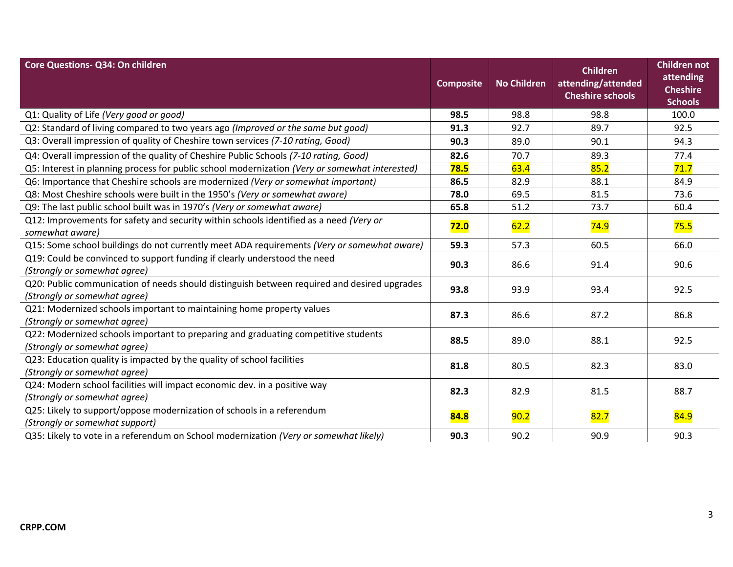| Core Questions- Q34: On children                                                                                            | <b>Composite</b> | <b>No Children</b> | <b>Children</b><br>attending/attended<br><b>Cheshire schools</b> | <b>Children not</b><br>attending<br><b>Cheshire</b><br><b>Schools</b> |
|-----------------------------------------------------------------------------------------------------------------------------|------------------|--------------------|------------------------------------------------------------------|-----------------------------------------------------------------------|
| Q1: Quality of Life (Very good or good)                                                                                     | 98.5             | 98.8               | 98.8                                                             | 100.0                                                                 |
| Q2: Standard of living compared to two years ago (Improved or the same but good)                                            | 91.3             | 92.7               | 89.7                                                             | 92.5                                                                  |
| Q3: Overall impression of quality of Cheshire town services (7-10 rating, Good)                                             | 90.3             | 89.0               | 90.1                                                             | 94.3                                                                  |
| Q4: Overall impression of the quality of Cheshire Public Schools (7-10 rating, Good)                                        | 82.6             | 70.7               | 89.3                                                             | 77.4                                                                  |
| Q5: Interest in planning process for public school modernization (Very or somewhat interested)                              | 78.5             | 63.4               | 85.2                                                             | 71.7                                                                  |
| Q6: Importance that Cheshire schools are modernized (Very or somewhat important)                                            | 86.5             | 82.9               | 88.1                                                             | 84.9                                                                  |
| Q8: Most Cheshire schools were built in the 1950's (Very or somewhat aware)                                                 | 78.0             | 69.5               | 81.5                                                             | 73.6                                                                  |
| Q9: The last public school built was in 1970's (Very or somewhat aware)                                                     | 65.8             | 51.2               | 73.7                                                             | 60.4                                                                  |
| Q12: Improvements for safety and security within schools identified as a need (Very or<br>somewhat aware)                   | 72.0             | 62.2               | 74.9                                                             | 75.5                                                                  |
| Q15: Some school buildings do not currently meet ADA requirements (Very or somewhat aware)                                  | 59.3             | 57.3               | 60.5                                                             | 66.0                                                                  |
| Q19: Could be convinced to support funding if clearly understood the need<br>(Strongly or somewhat agree)                   | 90.3             | 86.6               | 91.4                                                             | 90.6                                                                  |
| Q20: Public communication of needs should distinguish between required and desired upgrades<br>(Strongly or somewhat agree) | 93.8             | 93.9               | 93.4                                                             | 92.5                                                                  |
| Q21: Modernized schools important to maintaining home property values<br>(Strongly or somewhat agree)                       | 87.3             | 86.6               | 87.2                                                             | 86.8                                                                  |
| Q22: Modernized schools important to preparing and graduating competitive students<br>(Strongly or somewhat agree)          | 88.5             | 89.0               | 88.1                                                             | 92.5                                                                  |
| Q23: Education quality is impacted by the quality of school facilities<br>(Strongly or somewhat agree)                      | 81.8             | 80.5               | 82.3                                                             | 83.0                                                                  |
| Q24: Modern school facilities will impact economic dev. in a positive way<br>(Strongly or somewhat agree)                   | 82.3             | 82.9               | 81.5                                                             | 88.7                                                                  |
| Q25: Likely to support/oppose modernization of schools in a referendum<br>(Strongly or somewhat support)                    | 84.8             | 90.2               | 82.7                                                             | 84.9                                                                  |
| Q35: Likely to vote in a referendum on School modernization (Very or somewhat likely)                                       | 90.3             | 90.2               | 90.9                                                             | 90.3                                                                  |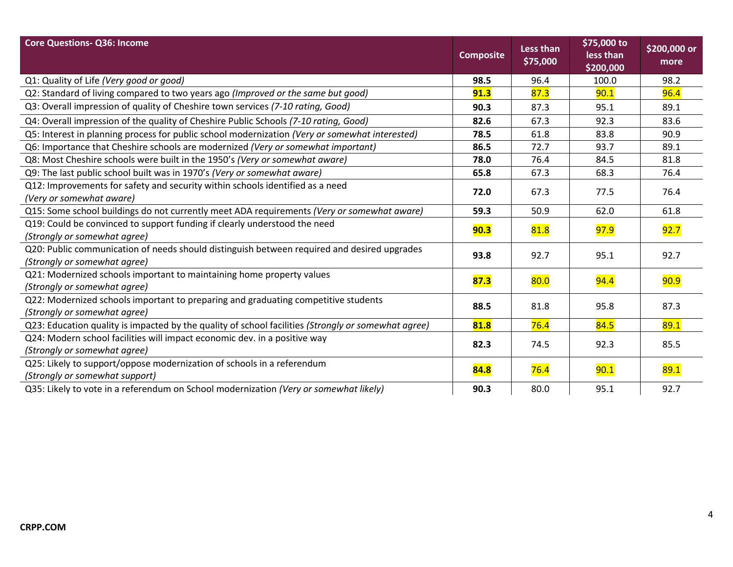| <b>Core Questions- Q36: Income</b>                                                                  | <b>Composite</b> | <b>Less than</b><br>\$75,000 | \$75,000 to<br>less than<br>\$200,000 | \$200,000 or<br>more |
|-----------------------------------------------------------------------------------------------------|------------------|------------------------------|---------------------------------------|----------------------|
| Q1: Quality of Life (Very good or good)                                                             | 98.5             | 96.4                         | 100.0                                 | 98.2                 |
| Q2: Standard of living compared to two years ago (Improved or the same but good)                    | 91.3             | 87.3                         | 90.1                                  | 96.4                 |
| Q3: Overall impression of quality of Cheshire town services (7-10 rating, Good)                     | 90.3             | 87.3                         | 95.1                                  | 89.1                 |
| Q4: Overall impression of the quality of Cheshire Public Schools (7-10 rating, Good)                | 82.6             | 67.3                         | 92.3                                  | 83.6                 |
| Q5: Interest in planning process for public school modernization (Very or somewhat interested)      | 78.5             | 61.8                         | 83.8                                  | 90.9                 |
| Q6: Importance that Cheshire schools are modernized (Very or somewhat important)                    | 86.5             | 72.7                         | 93.7                                  | 89.1                 |
| Q8: Most Cheshire schools were built in the 1950's (Very or somewhat aware)                         | 78.0             | 76.4                         | 84.5                                  | 81.8                 |
| Q9: The last public school built was in 1970's (Very or somewhat aware)                             | 65.8             | 67.3                         | 68.3                                  | 76.4                 |
| Q12: Improvements for safety and security within schools identified as a need                       | 72.0             | 67.3                         | 77.5                                  | 76.4                 |
| (Very or somewhat aware)                                                                            |                  |                              |                                       |                      |
| Q15: Some school buildings do not currently meet ADA requirements (Very or somewhat aware)          | 59.3             | 50.9                         | 62.0                                  | 61.8                 |
| Q19: Could be convinced to support funding if clearly understood the need                           | 90.3             | 81.8                         | <b>97.9</b>                           | 92.7                 |
| (Strongly or somewhat agree)                                                                        |                  |                              |                                       |                      |
| Q20: Public communication of needs should distinguish between required and desired upgrades         | 93.8             | 92.7                         | 95.1                                  | 92.7                 |
| (Strongly or somewhat agree)                                                                        |                  |                              |                                       |                      |
| Q21: Modernized schools important to maintaining home property values                               | 87.3             | 80.0                         | <b>94.4</b>                           | 90.9                 |
| (Strongly or somewhat agree)                                                                        |                  |                              |                                       |                      |
| Q22: Modernized schools important to preparing and graduating competitive students                  | 88.5             | 81.8                         | 95.8                                  | 87.3                 |
| (Strongly or somewhat agree)                                                                        |                  |                              |                                       |                      |
| Q23: Education quality is impacted by the quality of school facilities (Strongly or somewhat agree) | 81.8             | 76.4                         | 84.5                                  | 89.1                 |
| Q24: Modern school facilities will impact economic dev. in a positive way                           | 82.3             | 74.5                         | 92.3                                  | 85.5                 |
| (Strongly or somewhat agree)                                                                        |                  |                              |                                       |                      |
| Q25: Likely to support/oppose modernization of schools in a referendum                              | 84.8             | 76.4                         | 90.1                                  | 89.1                 |
| (Strongly or somewhat support)                                                                      |                  |                              |                                       |                      |
| Q35: Likely to vote in a referendum on School modernization (Very or somewhat likely)               | 90.3             | 80.0                         | 95.1                                  | 92.7                 |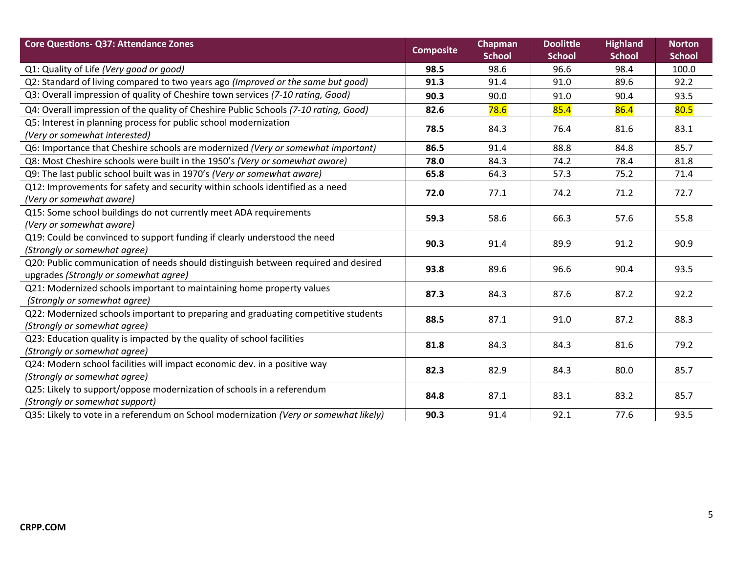| <b>Core Questions- Q37: Attendance Zones</b>                                                                                | <b>Composite</b> | Chapman<br><b>School</b> | <b>Doolittle</b><br><b>School</b> | <b>Highland</b><br><b>School</b> | <b>Norton</b><br><b>School</b> |
|-----------------------------------------------------------------------------------------------------------------------------|------------------|--------------------------|-----------------------------------|----------------------------------|--------------------------------|
| Q1: Quality of Life (Very good or good)                                                                                     | 98.5             | 98.6                     | 96.6                              | 98.4                             | 100.0                          |
| Q2: Standard of living compared to two years ago (Improved or the same but good)                                            | 91.3             | 91.4                     | 91.0                              | 89.6                             | 92.2                           |
| Q3: Overall impression of quality of Cheshire town services (7-10 rating, Good)                                             | 90.3             | 90.0                     | 91.0                              | 90.4                             | 93.5                           |
| Q4: Overall impression of the quality of Cheshire Public Schools (7-10 rating, Good)                                        | 82.6             | 78.6                     | 85.4                              | 86.4                             | 80.5                           |
| Q5: Interest in planning process for public school modernization<br>(Very or somewhat interested)                           | 78.5             | 84.3                     | 76.4                              | 81.6                             | 83.1                           |
| Q6: Importance that Cheshire schools are modernized (Very or somewhat important)                                            | 86.5             | 91.4                     | 88.8                              | 84.8                             | 85.7                           |
| Q8: Most Cheshire schools were built in the 1950's (Very or somewhat aware)                                                 | 78.0             | 84.3                     | 74.2                              | 78.4                             | 81.8                           |
| Q9: The last public school built was in 1970's (Very or somewhat aware)                                                     | 65.8             | 64.3                     | 57.3                              | 75.2                             | 71.4                           |
| Q12: Improvements for safety and security within schools identified as a need<br>(Very or somewhat aware)                   | 72.0             | 77.1                     | 74.2                              | 71.2                             | 72.7                           |
| Q15: Some school buildings do not currently meet ADA requirements<br>(Very or somewhat aware)                               | 59.3             | 58.6                     | 66.3                              | 57.6                             | 55.8                           |
| Q19: Could be convinced to support funding if clearly understood the need<br>(Strongly or somewhat agree)                   | 90.3             | 91.4                     | 89.9                              | 91.2                             | 90.9                           |
| Q20: Public communication of needs should distinguish between required and desired<br>upgrades (Strongly or somewhat agree) | 93.8             | 89.6                     | 96.6                              | 90.4                             | 93.5                           |
| Q21: Modernized schools important to maintaining home property values<br>(Strongly or somewhat agree)                       | 87.3             | 84.3                     | 87.6                              | 87.2                             | 92.2                           |
| Q22: Modernized schools important to preparing and graduating competitive students<br>(Strongly or somewhat agree)          | 88.5             | 87.1                     | 91.0                              | 87.2                             | 88.3                           |
| Q23: Education quality is impacted by the quality of school facilities<br>(Strongly or somewhat agree)                      | 81.8             | 84.3                     | 84.3                              | 81.6                             | 79.2                           |
| Q24: Modern school facilities will impact economic dev. in a positive way<br>(Strongly or somewhat agree)                   | 82.3             | 82.9                     | 84.3                              | 80.0                             | 85.7                           |
| Q25: Likely to support/oppose modernization of schools in a referendum<br>(Strongly or somewhat support)                    | 84.8             | 87.1                     | 83.1                              | 83.2                             | 85.7                           |
| Q35: Likely to vote in a referendum on School modernization (Very or somewhat likely)                                       | 90.3             | 91.4                     | 92.1                              | 77.6                             | 93.5                           |